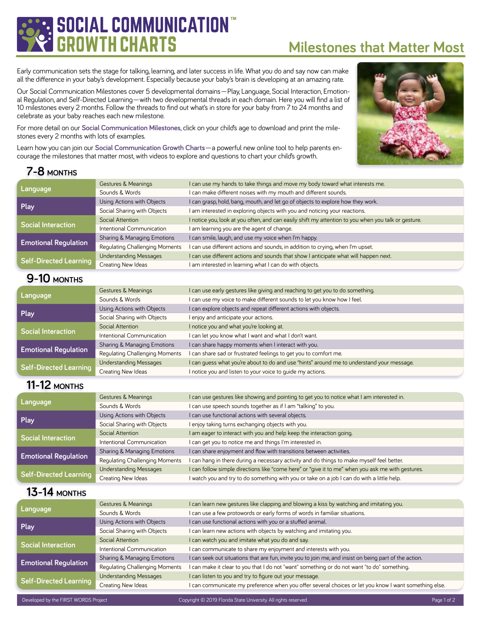# **CIAL COMMUNICATION GROWTH CHARTS**

# **Milestones that Matter Most**

Early communication sets the stage for talking, learning, and later success in life. What you do and say now can make all the difference in your baby's development. Especially because your baby's brain is developing at an amazing rate.

Our Social Communication Milestones cover 5 developmental domains—Play, Language, Social Interaction, Emotional Regulation, and Self-Directed Learning—with two developmental threads in each domain. Here you will find a list of 10 milestones every 2 months. Follow the threads to find out what's in store for your baby from 7 to 24 months and celebrate as your baby reaches each new milestone.

For more detail on our **[Social Communication Milestones](https://scgc.firstwordsproject.com)**, click on your child's age to download and print the milestones every 2 months with lots of examples.

Learn how you can join our **[Social Communication Growth Charts](https://scgc.firstwordsproject.com/membership)**—a powerful new online tool to help parents encourage the milestones that matter most, with videos to explore and questions to chart your child's growth.



## **[7-8](https://scgc.firstwordsproject.com/ages/7-8Months) MONTHS**

| Language                      | Gestures & Meanings            | I can use my hands to take things and move my body toward what interests me.                        |  |
|-------------------------------|--------------------------------|-----------------------------------------------------------------------------------------------------|--|
|                               | Sounds & Words                 | I can make different noises with my mouth and different sounds.                                     |  |
| Play                          | Using Actions with Objects     | I can grasp, hold, bang, mouth, and let go of objects to explore how they work.                     |  |
|                               | Social Sharing with Objects    | I am interested in exploring objects with you and noticing your reactions.                          |  |
| <b>Social Interaction</b>     | Social Attention               | I notice you, look at you often, and can easily shift my attention to you when you talk or gesture. |  |
|                               | Intentional Communication      | I am learning you are the agent of change.                                                          |  |
| <b>Emotional Regulation</b>   | Sharing & Managing Emotions    | I can smile, laugh, and use my voice when I'm happy.                                                |  |
|                               | Regulating Challenging Moments | I can use different actions and sounds, in addition to crying, when I'm upset.                      |  |
| <b>Self-Directed Learning</b> | <b>Understanding Messages</b>  | I can use different actions and sounds that show I anticipate what will happen next.                |  |
|                               | Creating New Ideas             | I am interested in learning what I can do with objects.                                             |  |

### **[9-10](https://scgc.firstwordsproject.com/ages/9-10Months) MONTHS**

| Language                    | Gestures & Meanings            | I can use early gestures like giving and reaching to get you to do something.             |
|-----------------------------|--------------------------------|-------------------------------------------------------------------------------------------|
|                             | Sounds & Words                 | I can use my voice to make different sounds to let you know how I feel.                   |
| Play                        | Using Actions with Objects     | I can explore objects and repeat different actions with objects.                          |
|                             | Social Sharing with Objects    | I enjoy and anticipate your actions.                                                      |
| <b>Social Interaction</b>   | Social Attention               | I notice you and what you're looking at.                                                  |
|                             | Intentional Communication      | I can let you know what I want and what I don't want.                                     |
| <b>Emotional Regulation</b> | Sharing & Managing Emotions    | I can share happy moments when I interact with you.                                       |
|                             | Regulating Challenging Moments | I can share sad or frustrated feelings to get you to comfort me.                          |
| Self-Directed Learning      | <b>Understanding Messages</b>  | I can quess what you're about to do and use "hints" around me to understand your message. |
|                             | Creating New Ideas             | I notice you and listen to your voice to quide my actions.                                |

### **[11-12](https://scgc.firstwordsproject.com/ages/11-12Months) MONTHS**

| Language                      | Gestures & Meanings            | I can use gestures like showing and pointing to get you to notice what I am interested in.        |
|-------------------------------|--------------------------------|---------------------------------------------------------------------------------------------------|
|                               | Sounds & Words                 | I can use speech sounds together as if I am "talking" to you.                                     |
| Play                          | Using Actions with Objects     | I can use functional actions with several objects.                                                |
|                               | Social Sharing with Objects    | I enjoy taking turns exchanging objects with you.                                                 |
|                               | Social Attention               | I am eager to interact with you and help keep the interaction going.                              |
| <b>Social Interaction</b>     | Intentional Communication      | I can get you to notice me and things I'm interested in.                                          |
| <b>Emotional Regulation</b>   | Sharing & Managing Emotions    | I can share enjoyment and flow with transitions between activities.                               |
|                               | Regulating Challenging Moments | I can hang in there during a necessary activity and do things to make myself feel better.         |
| <b>Self-Directed Learning</b> | <b>Understanding Messages</b>  | I can follow simple directions like "come here" or "give it to me" when you ask me with gestures. |
|                               | Creating New Ideas             | watch you and try to do something with you or take on a job I can do with a little help.          |

#### **[13-14](https://scgc.firstwordsproject.com/ages/13-14Months) MONTHS**

| Language                      | Gestures & Meanings            | I can learn new gestures like clapping and blowing a kiss by watching and imitating you.               |
|-------------------------------|--------------------------------|--------------------------------------------------------------------------------------------------------|
|                               | Sounds & Words                 | I can use a few protowords or early forms of words in familiar situations.                             |
| Play                          | Using Actions with Objects     | I can use functional actions with you or a stuffed animal.                                             |
|                               | Social Sharing with Objects    | I can learn new actions with objects by watching and imitating you.                                    |
| <b>Social Interaction</b>     | Social Attention               | I can watch you and imitate what you do and say.                                                       |
|                               | Intentional Communication      | I can communicate to share my enjoyment and interests with you.                                        |
| <b>Emotional Regulation</b>   | Sharing & Managing Emotions    | I can seek out situations that are fun, invite you to join me, and insist on being part of the action. |
|                               | Regulating Challenging Moments | I can make it clear to you that I do not "want" something or do not want "to do" something.            |
| <b>Self-Directed Learning</b> | <b>Understanding Messages</b>  | I can listen to you and try to figure out your message.                                                |
|                               | Creating New Ideas             | I can communicate my preference when you offer several choices or let you know I want something else.  |